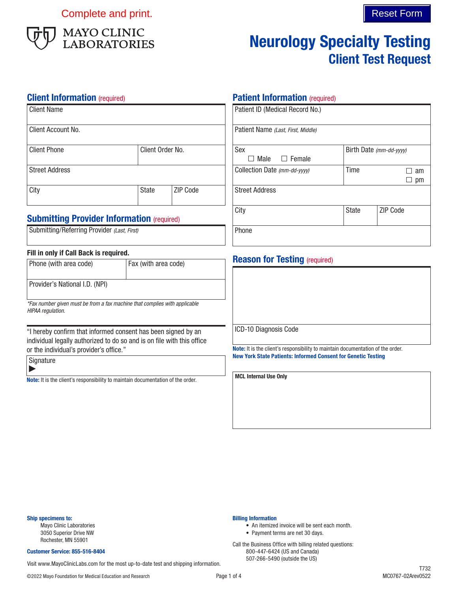Complete and print. Complete and print.



# Neurology Specialty Testing Client Test Request

### **Client Information** (required)

| Client Name           |                  |                 |
|-----------------------|------------------|-----------------|
| l Client Account No.  |                  |                 |
| <b>Client Phone</b>   | Client Order No. |                 |
| <b>Street Address</b> |                  |                 |
| City                  | <b>State</b>     | <b>ZIP Code</b> |

## **Submitting Provider Information (required)**

| Submitting/Referring Provider (Last, First) |  |  |
|---------------------------------------------|--|--|

#### Fill in only if Call Back is required.

| Phone (with area code)                                                                          | Fax (with area code) |
|-------------------------------------------------------------------------------------------------|----------------------|
| Provider's National I.D. (NPI)                                                                  |                      |
| *Fax number given must be from a fax machine that complies with applicable<br>HIPAA reaulation. |                      |

"I hereby confirm that informed consent has been signed by an individual legally authorized to do so and is on file with this office or the individual's provider's office."

Signature  $\blacktriangleright$ 

Note: It is the client's responsibility to maintain documentation of the order.

### **Patient Information (required)**

| Patient ID (Medical Record No.)    |       |                         |
|------------------------------------|-------|-------------------------|
| Patient Name (Last, First, Middle) |       |                         |
| Sex                                |       | Birth Date (mm-dd-yyyy) |
| Male $\Box$ Female                 |       |                         |
| Collection Date (mm-dd-yyyy)       | Time  | am                      |
|                                    |       | pm                      |
| <b>Street Address</b>              |       |                         |
| City                               | State | <b>ZIP Code</b>         |
| Phone                              |       |                         |

# **Reason for Testing (required)**

ICD-10 Diagnosis Code

Note: It is the client's responsibility to maintain documentation of the order. New York State Patients: Informed Consent for Genetic Testing

MCL Internal Use Only

Billing Information

• An itemized invoice will be sent each month.

• Payment terms are net 30 days. Call the Business Office with billing related questions: 800-447-6424 (US and Canada)

#### Ship specimens to:

Mayo Clinic Laboratories 3050 Superior Drive NW Rochester, MN 55901

#### Customer Service: 855-516-8404

507-266-5490 (outside the US) Visit www.MayoClinicLabs.com for the most up-to-date test and shipping information.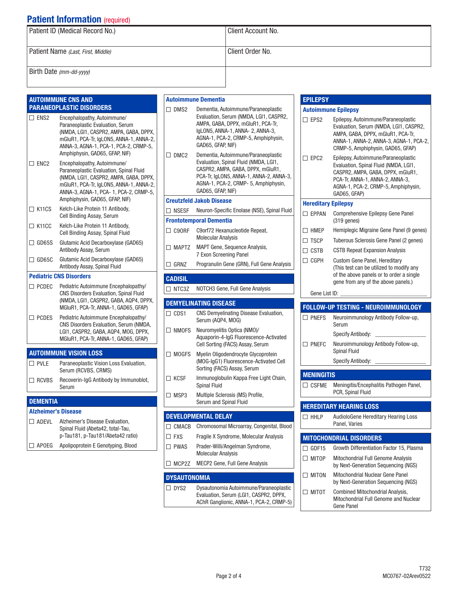# **Patient Information (required)**

| Patient ID (Medical Record No.)    | Client Account No. |
|------------------------------------|--------------------|
| Patient Name (Last, First, Middle) | Client Order No.   |
| Birth Date $(mm$ -dd-yyyy)         |                    |

#### AUTOIMMUNE CNS AND PARANEOPLASTIC DISORDERS

| $\square$ ENS2 | Encephalopathy, Autoimmune/<br>Paraneoplastic Evaluation, Serum<br>(NMDA, LGI1, CASPR2, AMPA, GABA, DPPX,<br>mGluR1, PCA-Tr, IgLON5, ANNA-1, ANNA-2,<br>ANNA-3, AGNA-1, PCA-1, PCA-2, CRMP-5,<br>Amphiphysin, GAD65, GFAP, NIF)        |
|----------------|----------------------------------------------------------------------------------------------------------------------------------------------------------------------------------------------------------------------------------------|
| $\Box$ ENC2    | Encephalopathy, Autoimmune/<br>Paraneoplastic Evaluation, Spinal Fluid<br>(NMDA, LGI1, CASPR2, AMPA, GABA, DPPX,<br>mGluR1, PCA-Tr, IgLON5, ANNA-1, ANNA-2,<br>ANNA-3, AGNA-1, PCA-1, PCA-2, CRMP-5,<br>Amphiphysin, GAD65, GFAP, NIF) |
| $\Box$ K11CS   | Kelch-Like Protein 11 Antibody,<br>Cell Binding Assay, Serum                                                                                                                                                                           |
| $\Box$ K11CC   | Kelch-Like Protein 11 Antibody,<br>Cell Binding Assay, Spinal Fluid                                                                                                                                                                    |
| $\Box$ GD65S   | Glutamic Acid Decarboxylase (GAD65)<br>Antibody Assay, Serum                                                                                                                                                                           |
| $\Box$ GD65C   | Glutamic Acid Decarboxylase (GAD65)<br>Antibody Assay, Spinal Fluid                                                                                                                                                                    |
|                | <b>Pediatric CNS Disorders</b>                                                                                                                                                                                                         |
| $\Box$ PCDEC   | Pediatric Autoimmune Encephalopathy/<br><b>CNS Disorders Evaluation, Spinal Fluid</b><br>(NMDA, LGI1, CASPR2, GABA, AQP4, DPPX,<br>MGIuR1, PCA-Tr, ANNA-1, GAD65, GFAP)                                                                |
| $\Box$ PCDES   | Pediatric Autoimmune Encephalopathy/<br>CNS Disorders Evaluation, Serum (NMDA,<br>LGI1, CASPR2, GABA, AQP4, MOG, DPPX,<br>MGIuR1, PCA-Tr, ANNA-1, GAD65, GFAP)                                                                         |
|                | <b>AUTOIMMUNE VISION LOSS</b>                                                                                                                                                                                                          |
| $\Box$ PVI F   | Paraneoplastic Vision Loss Evaluation,<br>Serum (RCVBS, CRMS)                                                                                                                                                                          |
| $\Box$ RCVBS   | Recoverin-IgG Antibody by Immunoblot,                                                                                                                                                                                                  |

#### **DEMENTIA**

Serum

| <b>Alzheimer's Disease</b> |                                                                                                           |
|----------------------------|-----------------------------------------------------------------------------------------------------------|
| $\Box$ ADFVI               | Alzheimer's Disease Evaluation.<br>Spinal Fluid (Abeta42, total-Tau,<br>p-Tau181, p-Tau181/Abeta42 ratio) |
| $\Box$ APOEG               | Apolipoprotein E Genotyping, Blood                                                                        |

|                         | Autoimmune Dementia                                                                                                                                                                                                       |
|-------------------------|---------------------------------------------------------------------------------------------------------------------------------------------------------------------------------------------------------------------------|
| $\square$ DMS2          | Dementia, Autoimmune/Paraneoplastic<br>Evaluation, Serum (NMDA, LGI1, CASPR2,<br>AMPA, GABA, DPPX, mGluR1, PCA-Tr,<br>IgLON5, ANNA-1, ANNA-2, ANNA-3,<br>AGNA-1, PCA-2, CRMP-5, Amphiphysin,<br>GAD65, GFAP, NIF)         |
| $\Box$ DMC <sub>2</sub> | Dementia, Autoimmune/Paraneoplastic<br>Evaluation, Spinal Fluid (NMDA, LGI1,<br>CASPR2, AMPA, GABA, DPPX, mGluR1,<br>PCA-Tr, IgLON5, ANNA-1, ANNA-2, ANNA-3,<br>AGNA-1, PCA-2, CRMP- 5, Amphiphysin,<br>GAD65, GFAP, NIF) |
|                         | <b>Creutzfeld Jakob Disease</b>                                                                                                                                                                                           |
| $\Box$ NSESF            | Neuron-Specific Enolase (NSE), Spinal Fluid                                                                                                                                                                               |
|                         | <b>Frontotemporal Dementia</b>                                                                                                                                                                                            |
| $\Box$ C90RF            | C9orf72 Hexanucleotide Repeat,<br><b>Molecular Analysis</b>                                                                                                                                                               |
| $\Box$ MAPTZ            | <b>MAPT Gene, Sequence Analysis,</b><br>7 Exon Screening Panel                                                                                                                                                            |
| $\square$ GRNZ          | Progranulin Gene (GRN), Full Gene Analysis                                                                                                                                                                                |
| <b>CADISIL</b>          |                                                                                                                                                                                                                           |
| $\Box$ NTC3Z            | NOTCH3 Gene, Full Gene Analysis                                                                                                                                                                                           |
|                         |                                                                                                                                                                                                                           |
|                         | <b>DEMYELINATING DISEASE</b>                                                                                                                                                                                              |
| $\Box$ CDS1             | CNS Demyelinating Disease Evaluation,<br>Serum (AQP4, MOG)                                                                                                                                                                |
| $\Box$ NMOFS            | Neuromyelitis Optica (NMO)/<br>Aquaporin-4-IgG Fluorescence-Activated<br>Cell Sorting (FACS) Assay, Serum                                                                                                                 |
| $\Box$ MOGFS            | Myelin Oligodendrocyte Glycoprotein<br>(MOG-IgG1) Fluorescence-Activated Cell<br>Sorting (FACS) Assay, Serum                                                                                                              |
| $\Box$ KCSF             | Immunoglobulin Kappa Free Light Chain,<br><b>Spinal Fluid</b>                                                                                                                                                             |
| $\Box$ MSP3             | Multiple Sclerosis (MS) Profile,<br>Serum and Spinal Fluid                                                                                                                                                                |
|                         | DEVELOPMENTAL DELAY                                                                                                                                                                                                       |
|                         | □ CMACB Chromosomal Microarray, Congenital, Blood                                                                                                                                                                         |
| $\Box$ FXS              | Fragile X Syndrome, Molecular Analysis                                                                                                                                                                                    |
| $\square$ PWAS          | Prader-Willi/Angelman Syndrome,<br><b>Molecular Analysis</b>                                                                                                                                                              |
| $\Box$ MCP2Z            | MECP2 Gene, Full Gene Analysis                                                                                                                                                                                            |

|                            | CASPR2, AMPA, GABA, DPPX, mGluR1,<br>PCA-Tr, ANNA-1, ANNA-2, ANNA-3,<br>AGNA-1, PCA-2, CRMP-5, Amphiphysin,<br>GAD65, GFAP)                                  |
|----------------------------|--------------------------------------------------------------------------------------------------------------------------------------------------------------|
| <b>Hereditary Epilepsy</b> |                                                                                                                                                              |
| $\Box$ FPPAN               | Comprehensive Epilepsy Gene Panel<br>$(319 \text{ genes})$                                                                                                   |
| $\Box$ HMEP                | Hemiplegic Migraine Gene Panel (9 genes)                                                                                                                     |
| $\square$ TSCP             | Tuberous Sclerosis Gene Panel (2 genes)                                                                                                                      |
| $\Box$ cstb                | <b>CSTB Repeat Expansion Analysis</b>                                                                                                                        |
| $\Box$ CGPH                | Custom Gene Panel, Hereditary<br>(This test can be utilized to modify any<br>of the above panels or to order a single<br>gene from any of the above panels.) |
| Gene List ID:              |                                                                                                                                                              |
|                            | <b>FOLLOW-UP TESTING - NEUROIMMUNOLOGY</b>                                                                                                                   |
|                            |                                                                                                                                                              |
| $\Box$ PNEFS               | Neuroimmunology Antibody Follow-up,<br>Serum                                                                                                                 |
|                            | Specify Antibody:                                                                                                                                            |
| $\Box$ PNEFC               | Neuroimmunology Antibody Follow-up,<br><b>Spinal Fluid</b>                                                                                                   |
|                            | <b>Specify Antibody:</b>                                                                                                                                     |
| <b>MENINGITIS</b>          |                                                                                                                                                              |
| $\Box$ CSFME               | Meningitis/Encephalitis Pathogen Panel,                                                                                                                      |
|                            | PCR, Spinal Fluid                                                                                                                                            |
|                            | <b>HEREDITARY HEARING LOSS</b>                                                                                                                               |
| $\Box$ HHLP                | AudioloGene Hereditary Hearing Loss<br>Panel, Varies                                                                                                         |
|                            | <b>MITOCHONDRIAL DISORDERS</b>                                                                                                                               |
| $\Box$ GDF15               | Growth Differentiation Factor 15, Plasma                                                                                                                     |
| $\Box$ MITOP               |                                                                                                                                                              |
|                            | Mitochondrial Full Genome Analysis<br>by Next-Generation Sequencing (NGS)                                                                                    |
| $\Box$ miton               | Mitochondrial Nuclear Gene Panel<br>by Next-Generation Sequencing (NGS)                                                                                      |
| $\Box$ mitot               | <b>Combined Mitochondrial Analysis,</b><br>Mitochondrial Full Genome and Nuclear<br>Gene Panel                                                               |

**EPILEPSY** 

Autoimmune Epilepsy

EPS2 Epilepsy, Autoimmune/Paraneoplastic

EPC2 Epilepsy, Autoimmune/Paraneoplastic

Evaluation, Serum (NMDA, LGI1, CASPR2, AMPA, GABA, DPPX, mGluR1, PCA-Tr, ANNA-1, ANNA-2, ANNA-3, AGNA-1, PCA-2, CRMP-5, Amphiphysin, GAD65, GFAP)

Evaluation, Spinal Fluid (NMDA, LGI1,

DYS2 Dysautonomia Autoimmune/Paraneoplastic Evaluation, Serum (LGI1, CASPR2, DPPX, AChR Ganglionic, ANNA-1, PCA-2, CRMP-5)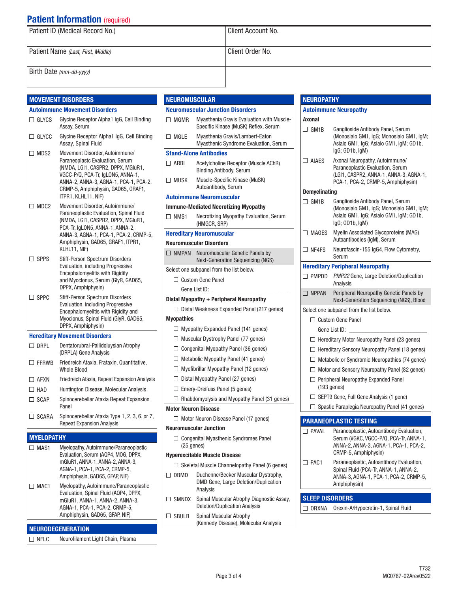# **Patient Information (required)**

| Patient ID (Medical Record No.)    | Client Account No. |
|------------------------------------|--------------------|
| Patient Name (Last, First, Middle) | Client Order No.   |
| Birth Date (mm-dd-yyyy)            |                    |

**ROMUSCULAR** 

|               |                   | <b>MOVEMENT DISORDERS</b>                                                                                                                          | <b>NEL</b>      |
|---------------|-------------------|----------------------------------------------------------------------------------------------------------------------------------------------------|-----------------|
|               |                   | <b>Autoimmune Movement Disorders</b>                                                                                                               | Neu             |
|               | $\Box$ GLYCS      | Glycine Receptor Alpha1 IgG, Cell Binding<br>Assay, Serum                                                                                          |                 |
|               | $\Box$ GLYCC      | Glycine Receptor Alpha1 IgG, Cell Binding<br>Assay, Spinal Fluid                                                                                   | ן ⊡             |
|               | $\Box$ MDS2       | Movement Disorder, Autoimmune/                                                                                                                     | Staı            |
|               |                   | Paraneoplastc Evaluation, Serum<br>(NMDA, LGI1, CASPR2, DPPX, MGIuR1,<br>VGCC-P/Q, PCA-Tr, IqLON5, ANNA-1,                                         | $\Box$ $\vdash$ |
|               |                   | ANNA-2, ANNA-3, AGNA-1, PCA-1, PCA-2,<br>CRMP-5, Amphiphysin, GAD65, GRAF1,                                                                        |                 |
|               |                   | ITPR1, KLHL11, NIF)                                                                                                                                | Aut             |
|               | $\Box$ MDC2       | Movement Disorder, Autoimmune/<br>Paraneoplastic Evaluation, Spinal Fluid<br>(NMDA, LGI1, CASPR2, DPPX, MGIuR1,<br>PCA-Tr, IgLON5, ANNA-1, ANNA-2, | Imm<br>ו ⊡      |
|               |                   | ANNA-3, AGNA-1, PCA-1, PCA-2, CRMP-5,                                                                                                              | Her             |
|               |                   | Amphiphysin, GAD65, GRAF1, ITPR1,                                                                                                                  | Neu             |
|               |                   | KLHL11, NIF)                                                                                                                                       | $\Box$          |
|               | $\Box$ SPPS       | Stiff-Person Spectrum Disorders<br>Evaluation, including Progressive                                                                               |                 |
|               |                   | Encephalomyelitis with Rigidity                                                                                                                    | Sele            |
|               |                   | and Myoclonus, Serum (GlyR, GAD65,<br>DPPX, Amphiphysin)                                                                                           | С               |
|               | $\Box$ SPPC       | Stiff-Person Spectrum Disorders                                                                                                                    | Dist            |
|               |                   | Evaluation, including Progressive                                                                                                                  | L               |
|               |                   | Encephalomyelitis with Rigidity and<br>Myoclonus, Spinal Fluid (GlyR, GAD65,                                                                       | Myo             |
|               |                   | DPPX, Amphiphysin)                                                                                                                                 | С               |
|               |                   | <b>Hereditary Movement Disorders</b>                                                                                                               | Г               |
|               | $\Box$ DRPL       | Dentatorubral-Pallidoluysian Atrophy<br>(DRPLA) Gene Analysis                                                                                      | C               |
|               | $\Box$ FFRWB      | Friedreich Ataxia, Frataxin, Quantitative,                                                                                                         | С               |
|               |                   | <b>Whole Blood</b>                                                                                                                                 | L               |
|               | $\Box$ AFXN       | Friedreich Ataxia, Repeat Expansion Analysis                                                                                                       | C               |
| $\square$ HAD |                   | Huntington Disease, Molecular Analysis                                                                                                             | Г               |
|               | $\Box$ SCAP       | Spinocerebellar Ataxia Repeat Expansion<br>Panel                                                                                                   | L<br>Mot        |
|               | $\Box$ SCARA      | Spinocerebellar Ataxia Type 1, 2, 3, 6, or 7,                                                                                                      | L               |
|               |                   | <b>Repeat Expansion Analysis</b>                                                                                                                   | Neu             |
|               | <b>MYELOPATHY</b> |                                                                                                                                                    | С               |
|               | $\Box$ MAS1       | Myelopathy, Autoimmune/Paraneoplastic                                                                                                              |                 |
|               |                   | Evaluation, Serum (AQP4, MOG, DPPX,                                                                                                                | Hyp             |
|               |                   | mGluR1, ANNA-1, ANNA-2, ANNA-3,<br>AGNA-1, PCA-1, PCA-2, CRMP-5,                                                                                   | L               |
|               |                   | Amphiphysin, GAD65, GFAP, NIF)                                                                                                                     | - E             |
|               | $\Box$ MAC1       | Myelopathy, Autoimmune/Paraneoplastic                                                                                                              |                 |
|               |                   | Evaluation, Spinal Fluid (AQP4, DPPX,                                                                                                              | -S              |
|               |                   | mGluR1, ANNA-1, ANNA-2, ANNA-3,<br>AGNA-1, PCA-1, PCA-2, CRMP-5,                                                                                   |                 |
|               |                   | Amphiphysin, GAD65, GFAP, NIF)                                                                                                                     |                 |

**NEURODEGENERATION** □ NFLC Neurofilament Light Chain, Plasma **Iromuscular Junction Disorders** MGMR Myasthenia Gravis Evaluation with Muscle-Specific Kinase (MuSK) Reflex, Serum MGLE Myasthenia Gravis/Lambert-Eaton Myasthenic Syndrome Evaluation, Serum nd-Alone Antibodies ARBI Acetylcholine Receptor (Muscle AChR) Binding Antibody, Serum MUSK Muscle-Specific Kinase (MuSK) Autoantibody, Serum oimmune Neuromuscular **Immunder Mediated Necrotizing Myopathy** NMS1 Necrotizing Myopathy Evaluation, Serum (HMGCR, SRP) editary Neuromuscular romuscular Disorders NMPAN Neuromuscular Genetic Panels by Next-Generation Sequencing (NGS) ct one subpanel from the list below. Custom Gene Panel Gene List ID: al Myopathy + Peripheral Neuropathy Distal Weakness Expanded Panel (217 genes) pathies  $\Box$  Myopathy Expanded Panel (141 genes) Muscular Dystrophy Panel (77 genes)  $\Box$  Congenital Myopathy Panel (36 genes) Metabolic Myopathy Panel (41 genes) Myofibrillar Myopathy Panel (12 genes)  $\Box$  Distal Myopathy Panel (27 genes) Emery-Dreifuss Panel (5 genes)  $\Box$  Rhabdomyolysis and Myopathy Panel (31 genes) or Neuron Disease Motor Neuron Disease Panel (17 genes) romuscular Junction  $\Box$  Congenital Myasthenic Syndromes Panel (25 genes) erexcitable Muscle Disease  $\Box$  Skeletal Muscle Channelopathy Panel (6 genes) DBMD Duchenne/Becker Muscular Dystrophy, DMD Gene, Large Deletion/Duplication Analysis SMNDX Spinal Muscular Atrophy Diagnostic Assay, Deletion/Duplication Analysis SBULB Spinal Muscular Atrophy (Kennedy Disease), Molecular Analysis

|                       | <b>Autoimmune Neuropathy</b>                                                                                                                        |
|-----------------------|-----------------------------------------------------------------------------------------------------------------------------------------------------|
| Axonal<br>$\Box$ GM1B | Ganglioside Antibody Panel, Serum<br>(Monosialo GM1, IgG; Monosialo GM1, IgM;<br>Asialo GM1, IgG; Asialo GM1, IgM; GD1b,<br>IgG; GD1b, IgM)         |
| $\Box$ AIAES          | Axonal Neuropathy, Autoimmune/<br>Paraneoplastic Evaluation, Serum<br>(LGI1, CASPR2, ANNA-1, ANNA-3, AGNA-1,<br>PCA-1, PCA-2, CRMP-5, Amphiphysin)  |
| Demyelinating         |                                                                                                                                                     |
| $\Box$ GM1B           | Ganglioside Antibody Panel, Serum<br>(Monosialo GM1, IgG; Monosialo GM1, IgM;<br>Asialo GM1, IgG; Asialo GM1, IgM; GD1b,<br>IgG; GD1b, IgM)         |
| $\square$ MAGES       | <b>Myelin Associated Glycoproteins (MAG)</b><br>Autoantibodies (IgM), Serum                                                                         |
| $\Box$ NF4FS          | Neurofascin-155 IgG4, Flow Cytometry,<br>Serum                                                                                                      |
|                       | <b>Hereditary Peripheral Neuropathy</b>                                                                                                             |
|                       | $\Box$ PMPDD $PMP22$ Gene, Large Deletion/Duplication<br>Analysis                                                                                   |
| $\Box$ NPPAN          | Peripheral Neuropathy Genetic Panels by<br>Next-Generation Sequencing (NGS), Blood                                                                  |
|                       | Select one subpanel from the list below.                                                                                                            |
|                       | □ Custom Gene Panel                                                                                                                                 |
|                       | Gene List ID:                                                                                                                                       |
|                       | $\Box$ Hereditary Motor Neuropathy Panel (23 genes)                                                                                                 |
|                       | $\Box$ Hereditary Sensory Neuropathy Panel (18 genes)                                                                                               |
|                       | $\Box$ Metabolic or Syndromic Neuropathies (74 genes)                                                                                               |
|                       | $\Box$ Motor and Sensory Neuropathy Panel (82 genes)                                                                                                |
|                       | $\Box$ Peripheral Neuropathy Expanded Panel<br>$(193$ genes)                                                                                        |
|                       | $\Box$ SEPT9 Gene, Full Gene Analysis (1 gene)                                                                                                      |
|                       | $\Box$ Spastic Paraplegia Neuropathy Panel (41 genes)                                                                                               |
|                       | <b>PARANEOPLASTIC TESTING</b>                                                                                                                       |
| $\Box$ Paval          | Paraneoplastic, Autoantibody Evaluation,<br>Serum (VGKC, VGCC-P/Q, PCA-Tr, ANNA-1,<br>ANNA-2, ANNA-3, AGNA-1, PCA-1, PCA-2,<br>CRMP-5, Amphiphysin) |
| $\Box$ PAC1           | Paraneoplastic, Autoantibody Evaluation,<br>Spinal Fluid (PCA-Tr, ANNA-1, ANNA-2,<br>ANNA-3, AGNA-1, PCA-1, PCA-2, CRMP-5,<br>Amphiphysin)          |

| □ ORXNA Orexin-A/Hypocretin-1, Spinal Fluid